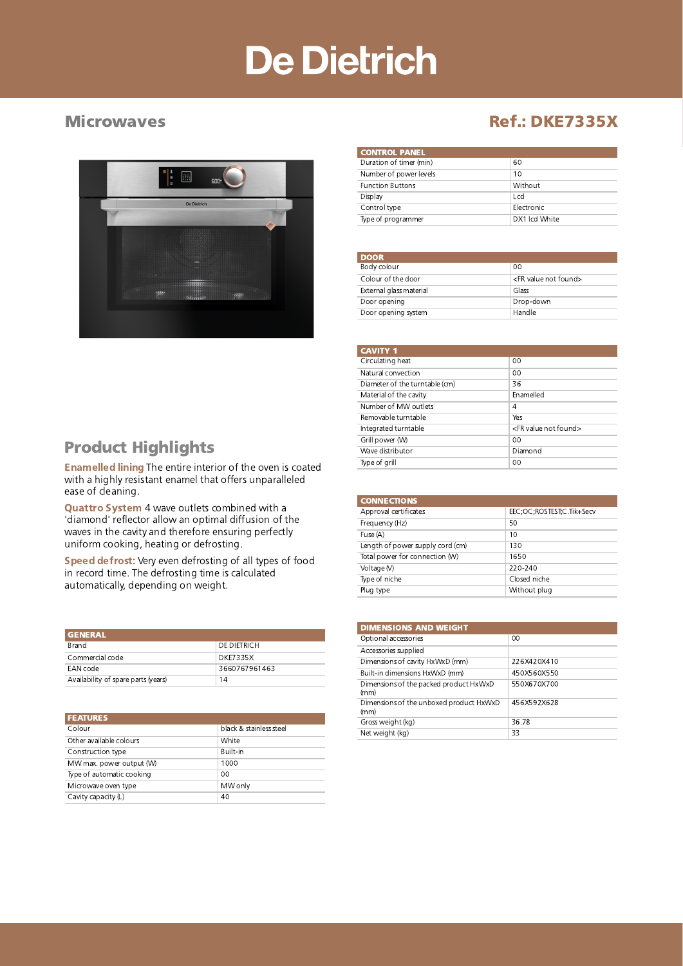## De Dietrich



#### Microwaves **Microwaves Ref.: DKE7335X**

| <b>CONTROL PANEL</b> |  |  |
|----------------------|--|--|
| 60                   |  |  |
| 10                   |  |  |
| Without              |  |  |
| Lcd                  |  |  |
| Flectronic           |  |  |
| DX1 Icd White        |  |  |
|                      |  |  |

| <b>DOOR</b>             |                                    |
|-------------------------|------------------------------------|
| Body colour             | 00                                 |
| Colour of the door      | <fr found="" not="" value=""></fr> |
| External glass material | Glass                              |
| Door opening            | Drop-down                          |
| Door opening system     | Handle                             |

| <b>CAVITY 1</b>                |                                    |
|--------------------------------|------------------------------------|
| Circulating heat               | $00 \,$                            |
| Natural convection             | $00 \,$                            |
| Diameter of the turntable (cm) | 36                                 |
| Material of the cavity         | Fnamelled                          |
| Number of MW outlets           | 4                                  |
| Removable turntable            | Yes                                |
| Integrated turntable           | <fr found="" not="" value=""></fr> |
| Grill power (W)                | $00 \,$                            |
| Wave distributor               | Diamond                            |
| Type of grill                  | $00 \,$                            |
|                                |                                    |

| <b>CONNECTIONS</b>               |                           |
|----------------------------------|---------------------------|
| Approval certificates            | EEC;OC;ROSTEST;C.Tik+Secv |
| Frequency (Hz)                   | 50                        |
| Fuse (A)                         | 10                        |
| Length of power supply cord (cm) | 130                       |
| Total power for connection (W)   | 1650                      |
| Voltage (V)                      | 220-240                   |
| Type of niche                    | Closed niche              |
| Plug type                        | Without plug              |
|                                  |                           |

| <b>DIMENSIONS AND WEIGHT</b>                    |             |
|-------------------------------------------------|-------------|
| Optional accessories                            | 00          |
| Accessories supplied                            |             |
| Dimensions of cavity HxWxD (mm)                 | 226X420X410 |
| Built-in dimensions HxWxD (mm)                  | 450X560X550 |
| Dimensions of the packed product HxWxD<br>(mm)  | 550X670X700 |
| Dimensions of the unboxed product HxWxD<br>(mm) | 456X592X628 |
| Gross weight (kg)                               | 36.78       |
| Net weight (kg)                                 | 33          |

### Product Highlights

Enamelled lining The entire interior of the oven is coated with a highly resistant enamel that offers unparalleled ease of cleaning.

Quattro System 4 wave outlets combined with a 'diamond' reflector allow an optimal diffusion of the waves in the cavity and therefore ensuring perfectly uniform cooking, heating or defrosting.

Speed defrost: Very even defrosting of all types of food in record time. The defrosting time is calculated automatically, depending on weight.

| <b>GENERAL</b>                      |                 |
|-------------------------------------|-----------------|
| Brand                               | DE DIETRICH     |
| Commercial code                     | <b>DKE7335X</b> |
| EAN code                            | 3660767961463   |
| Availability of spare parts (years) | 14              |

| <b>FEATURES</b>           |                         |
|---------------------------|-------------------------|
| Colour                    | black & stainless steel |
| Other available colours   | White                   |
| Construction type         | Built-in                |
| MW max. power output (W)  | 1000                    |
| Type of automatic cooking | 00                      |
| Microwave oven type       | MW only                 |
| Cavity capacity (L)       | 40                      |